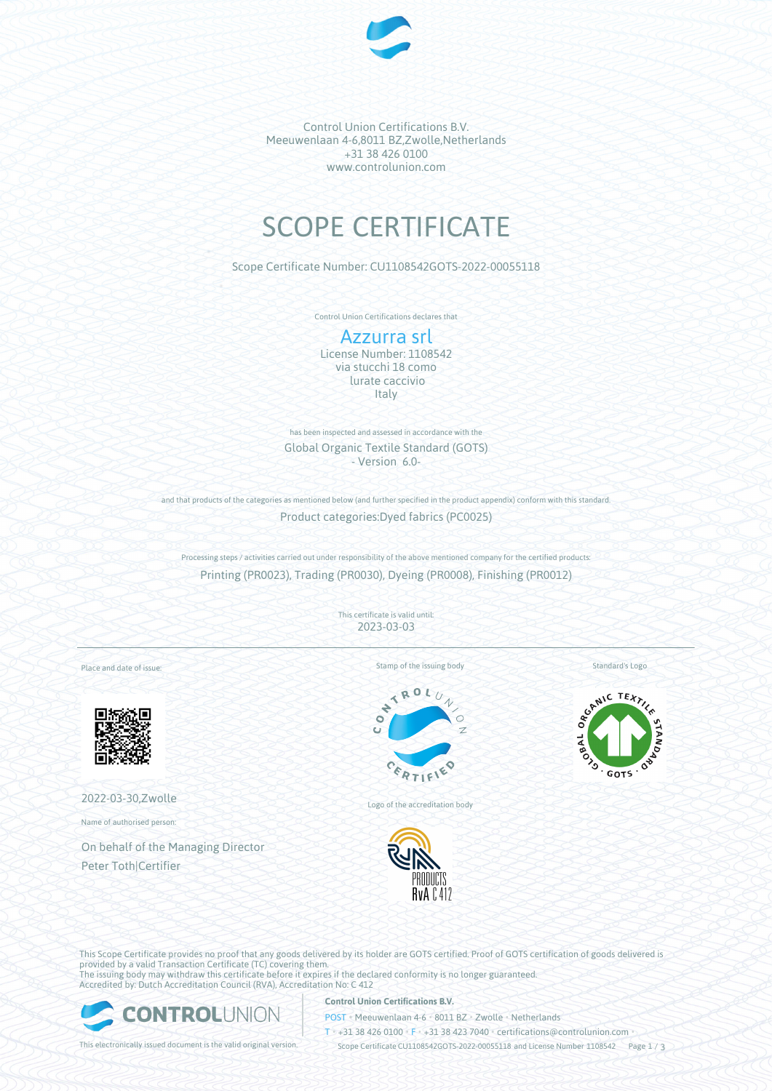

Control Union Certifications B.V. Meeuwenlaan 4-6,8011 BZ,Zwolle,Netherlands +31 38 426 0100 www.controlunion.com

# SCOPE CERTIFICATE

Scope Certificate Number: CU1108542GOTS-2022-00055118

Control Union Certifications declares that

# Azzurra srl

License Number: 1108542 via stucchi 18 como lurate caccivio **Italy** 

has been inspected and assessed in accordance with the Global Organic Textile Standard (GOTS) - Version 6.0-

and that products of the categories as mentioned below (and further specified in the product appendix) conform with this standard. Product categories:Dyed fabrics (PC0025)

Processing steps / activities carried out under responsibility of the above mentioned company for the certified products: Printing (PR0023), Trading (PR0030), Dyeing (PR0008), Finishing (PR0012)

> This certificate is valid until: 2023-03-03

> > k  $\mathcal{N}_{\mathbf{0}}$ d

Place and date of issue:



2022-03-30,Zwolle

Name of authorised person:

On behalf of the Managing Director Peter Toth|Certifier

Stamp of the issuing body





Logo of the accreditation body



SCANIC TEXTILE **GOTS** 

This Scope Certificate provides no proof that any goods delivered by its holder are GOTS certified. Proof of GOTS certification of goods delivered is provided by a valid Transaction Certificate (TC) covering them. The issuing body may withdraw this certificate before it expires if the declared conformity is no longer guaranteed. Accredited by: Dutch Accreditation Council (RVA), Accreditation No: C 412



## **Control Union Certifications B.V.**

POST • Meeuwenlaan 4-6 • 8011 BZ • Zwolle • Netherlands

T • +31 38 426 0100 • F • +31 38 423 7040 • certifications@controlunion.com •

This electronically issued document is the valid original version. Scope Certificate CU1108542GOTS-2022-00055118 and License Number 1108542 Page 1 / 3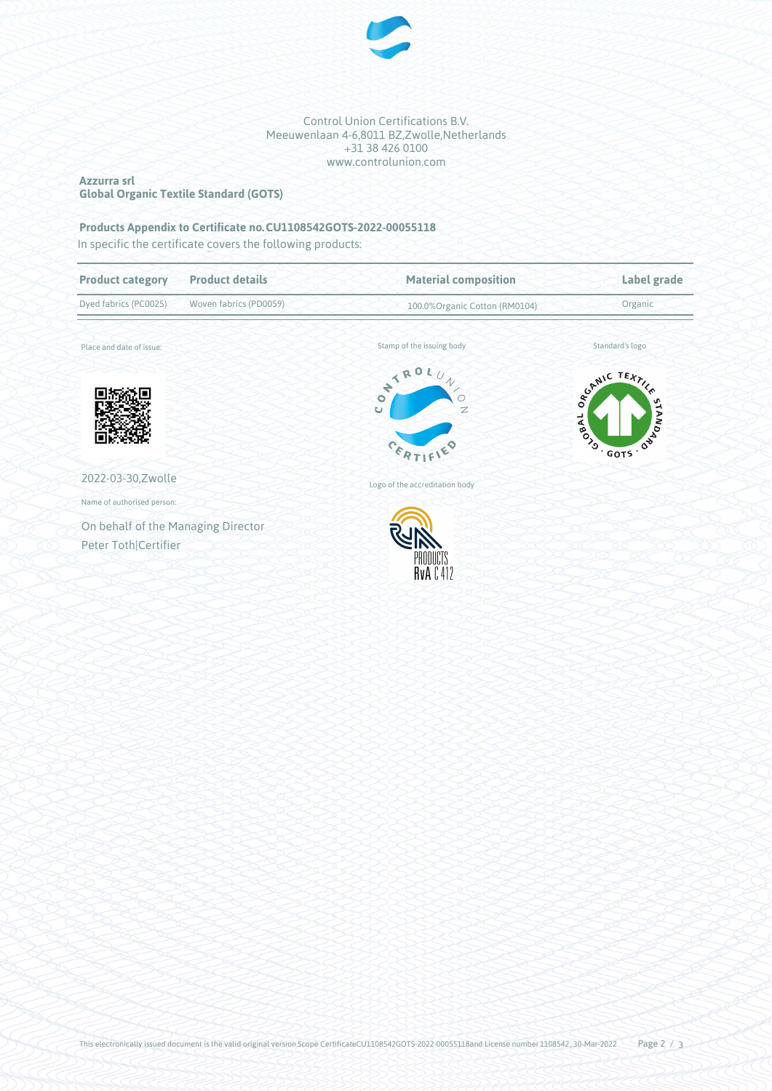

#### Control Union Certifications B.V. Meeuwenlaan 4-6,8011 BZ,Zwolle,Netherlands +31 38 426 0100 www.controlunion.com

### **Azzurra srl Global Organic Textile Standard (GOTS)**

# **Products Appendix to Certificate no.CU1108542GOTS-2022-00055118**

In specific the certificate covers the following products:

| <b>Product details</b><br><b>Product category</b>          | <b>Material composition</b>                                              | Label grade                                    |  |
|------------------------------------------------------------|--------------------------------------------------------------------------|------------------------------------------------|--|
| Dyed fabrics (PC0025)<br>Woven fabrics (PD0059)            | 100.0% Organic Cotton (RM0104)                                           | Organic                                        |  |
| Place and date of issue:                                   | Stamp of the issuing body                                                | Standard's logo                                |  |
|                                                            | ONTROLU.<br>$\gamma$<br>$\overline{z}$<br>$\cup$<br>$c_{\epsilon_{R_T}}$ | SCANIC TEXTILE<br>ON BUDIS<br>JABOS<br>. GOTS. |  |
| 2022-03-30, Zwolle                                         | Logo of the accreditation body                                           |                                                |  |
| Name of authorised person:                                 |                                                                          |                                                |  |
| On behalf of the Managing Director<br>Peter Toth Certifier | PRODUCTS<br><b>RvAC412</b>                                               |                                                |  |